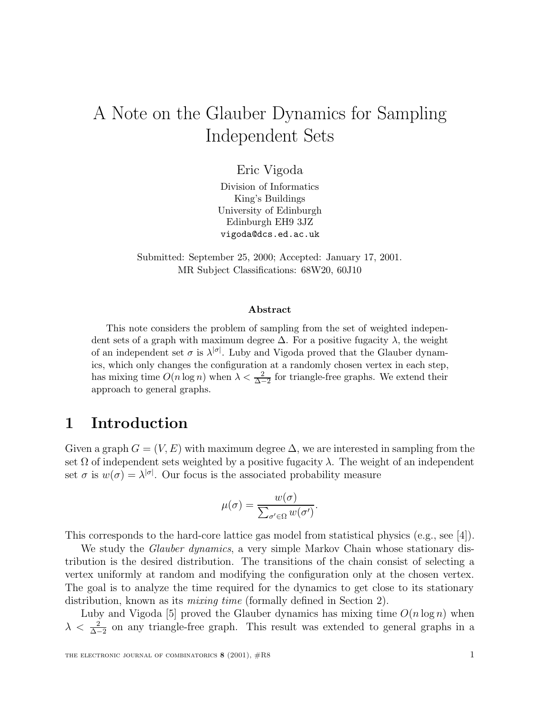# A Note on the Glauber Dynamics for Sampling Independent Sets

Eric Vigoda

Division of Informatics King's Buildings University of Edinburgh Edinburgh EH9 3JZ vigoda@dcs.ed.ac.uk

Submitted: September 25, 2000; Accepted: January 17, 2001. MR Subject Classifications: 68W20, 60J10

#### **Abstract**

This note considers the problem of sampling from the set of weighted independent sets of a graph with maximum degree  $\Delta$ . For a positive fugacity  $\lambda$ , the weight of an independent set  $\sigma$  is  $\lambda^{|\sigma|}$ . Luby and Vigoda proved that the Glauber dynamics, which only changes the configuration at a randomly chosen vertex in each step, has mixing time  $O(n \log n)$  when  $\lambda < \frac{2}{\Delta - 2}$  for triangle-free graphs. We extend their approach to general graphs.

# **1 Introduction**

Given a graph  $G = (V, E)$  with maximum degree  $\Delta$ , we are interested in sampling from the set  $\Omega$  of independent sets weighted by a positive fugacity  $\lambda$ . The weight of an independent set  $\sigma$  is  $w(\sigma) = \lambda^{|\sigma|}$ . Our focus is the associated probability measure

$$
\mu(\sigma) = \frac{w(\sigma)}{\sum_{\sigma' \in \Omega} w(\sigma')}.
$$

This corresponds to the hard-core lattice gas model from statistical physics (e.g., see [4]).

We study the *Glauber dynamics*, a very simple Markov Chain whose stationary distribution is the desired distribution. The transitions of the chain consist of selecting a vertex uniformly at random and modifying the configuration only at the chosen vertex. The goal is to analyze the time required for the dynamics to get close to its stationary distribution, known as its *mixing time* (formally defined in Section 2).

Luby and Vigoda [5] proved the Glauber dynamics has mixing time  $O(n \log n)$  when  $\lambda < \frac{2}{\Delta - 2}$  on any triangle-free graph. This result was extended to general graphs in a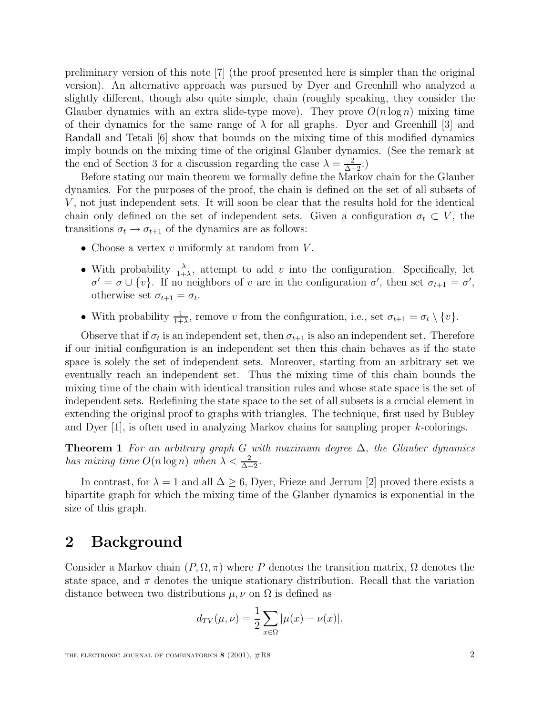preliminary version of this note [7] (the proof presented here is simpler than the original version). An alternative approach was pursued by Dyer and Greenhill who analyzed a slightly different, though also quite simple, chain (roughly speaking, they consider the Glauber dynamics with an extra slide-type move). They prove  $O(n \log n)$  mixing time of their dynamics for the same range of  $\lambda$  for all graphs. Dyer and Greenhill [3] and Randall and Tetali [6] show that bounds on the mixing time of this modified dynamics imply bounds on the mixing time of the original Glauber dynamics. (See the remark at the end of Section 3 for a discussion regarding the case  $\lambda = \frac{2}{\lambda - 2}$ .)

Before stating our main theorem we formally define the Markov chain for the Glauber dynamics. For the purposes of the proof, the chain is defined on the set of all subsets of V , not just independent sets. It will soon be clear that the results hold for the identical chain only defined on the set of independent sets. Given a configuration  $\sigma_t \subset V$ , the transitions  $\sigma_t \to \sigma_{t+1}$  of the dynamics are as follows:

- Choose a vertex  $v$  uniformly at random from  $V$ .
- With probability  $\frac{\lambda}{1+\lambda}$ , attempt to add v into the configuration. Specifically, let  $\sigma' = \sigma \cup \{v\}.$  If no neighbors of v are in the configuration  $\sigma'$ , then set  $\sigma_{t+1} = \sigma'$ , otherwise set  $\sigma_{t+1} = \sigma_t$ .
- With probability  $\frac{1}{1+\lambda}$ , remove v from the configuration, i.e., set  $\sigma_{t+1} = \sigma_t \setminus \{v\}$ .

Observe that if  $\sigma_t$  is an independent set, then  $\sigma_{t+1}$  is also an independent set. Therefore if our initial configuration is an independent set then this chain behaves as if the state space is solely the set of independent sets. Moreover, starting from an arbitrary set we eventually reach an independent set. Thus the mixing time of this chain bounds the mixing time of the chain with identical transition rules and whose state space is the set of independent sets. Redefining the state space to the set of all subsets is a crucial element in extending the original proof to graphs with triangles. The technique, first used by Bubley and Dyer [1], is often used in analyzing Markov chains for sampling proper k-colorings.

**Theorem 1** For an arbitrary graph G with maximum degree  $\Delta$ , the Glauber dynamics has mixing time  $O(n \log n)$  when  $\lambda < \frac{2}{\Delta - 2}$ .

In contrast, for  $\lambda = 1$  and all  $\Delta \geq 6$ , Dyer, Frieze and Jerrum [2] proved there exists a bipartite graph for which the mixing time of the Glauber dynamics is exponential in the size of this graph.

# **2 Background**

Consider a Markov chain  $(P, \Omega, \pi)$  where P denotes the transition matrix,  $\Omega$  denotes the state space, and  $\pi$  denotes the unique stationary distribution. Recall that the variation distance between two distributions  $\mu, \nu$  on  $\Omega$  is defined as

$$
d_{TV}(\mu, \nu) = \frac{1}{2} \sum_{x \in \Omega} |\mu(x) - \nu(x)|.
$$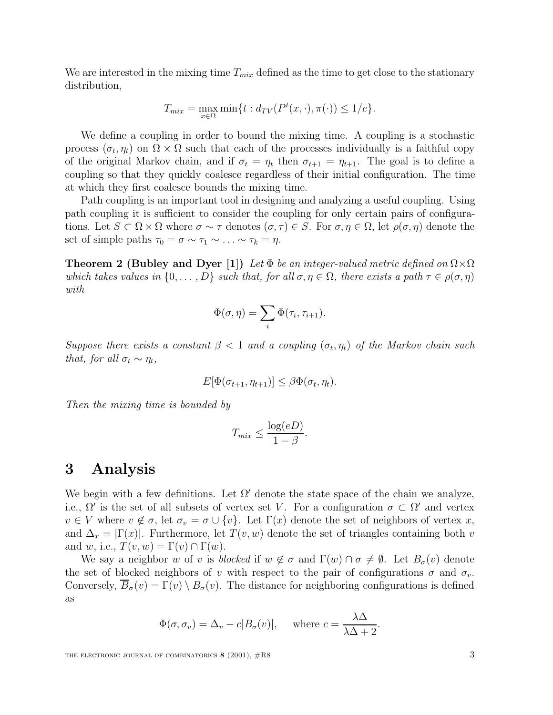We are interested in the mixing time  $T_{mix}$  defined as the time to get close to the stationary distribution,

$$
T_{mix} = \max_{x \in \Omega} \min\{t : d_{TV}(P^t(x, \cdot), \pi(\cdot)) \le 1/e\}.
$$

We define a coupling in order to bound the mixing time. A coupling is a stochastic process  $(\sigma_t, \eta_t)$  on  $\Omega \times \Omega$  such that each of the processes individually is a faithful copy of the original Markov chain, and if  $\sigma_t = \eta_t$  then  $\sigma_{t+1} = \eta_{t+1}$ . The goal is to define a coupling so that they quickly coalesce regardless of their initial configuration. The time at which they first coalesce bounds the mixing time.

Path coupling is an important tool in designing and analyzing a useful coupling. Using path coupling it is sufficient to consider the coupling for only certain pairs of configurations. Let  $S \subset \Omega \times \Omega$  where  $\sigma \sim \tau$  denotes  $(\sigma, \tau) \in S$ . For  $\sigma, \eta \in \Omega$ , let  $\rho(\sigma, \eta)$  denote the set of simple paths  $\tau_0 = \sigma \sim \tau_1 \sim \ldots \sim \tau_k = \eta$ .

**Theorem 2 (Bubley and Dyer [1])** Let  $\Phi$  be an integer-valued metric defined on  $\Omega \times \Omega$ which takes values in  $\{0,\ldots,D\}$  such that, for all  $\sigma,\eta\in\Omega$ , there exists a path  $\tau\in\rho(\sigma,\eta)$ with

$$
\Phi(\sigma,\eta)=\sum_i\Phi(\tau_i,\tau_{i+1}).
$$

Suppose there exists a constant  $\beta$  < 1 and a coupling  $(\sigma_t, \eta_t)$  of the Markov chain such that, for all  $\sigma_t \sim \eta_t$ ,

$$
E[\Phi(\sigma_{t+1}, \eta_{t+1})] \leq \beta \Phi(\sigma_t, \eta_t).
$$

Then the mixing time is bounded by

$$
T_{mix} \le \frac{\log(eD)}{1 - \beta}.
$$

### **3 Analysis**

We begin with a few definitions. Let  $\Omega'$  denote the state space of the chain we analyze, i.e.,  $\Omega'$  is the set of all subsets of vertex set V. For a configuration  $\sigma \subset \Omega'$  and vertex  $v \in V$  where  $v \notin \sigma$ , let  $\sigma_v = \sigma \cup \{v\}$ . Let  $\Gamma(x)$  denote the set of neighbors of vertex x, and  $\Delta_x = |\Gamma(x)|$ . Furthermore, let  $T(v, w)$  denote the set of triangles containing both v and w, i.e.,  $T(v, w) = \Gamma(v) \cap \Gamma(w)$ .

We say a neighbor w of v is blocked if  $w \notin \sigma$  and  $\Gamma(w) \cap \sigma \neq \emptyset$ . Let  $B_{\sigma}(v)$  denote the set of blocked neighbors of v with respect to the pair of configurations  $\sigma$  and  $\sigma_v$ . Conversely,  $\overline{B}_{\sigma}(v) = \Gamma(v) \setminus B_{\sigma}(v)$ . The distance for neighboring configurations is defined as

$$
\Phi(\sigma, \sigma_v) = \Delta_v - c|B_{\sigma}(v)|, \quad \text{where } c = \frac{\lambda \Delta}{\lambda \Delta + 2}.
$$

THE ELECTRONIC JOURNAL OF COMBINATORICS **8** (2001),  $\#R8$  3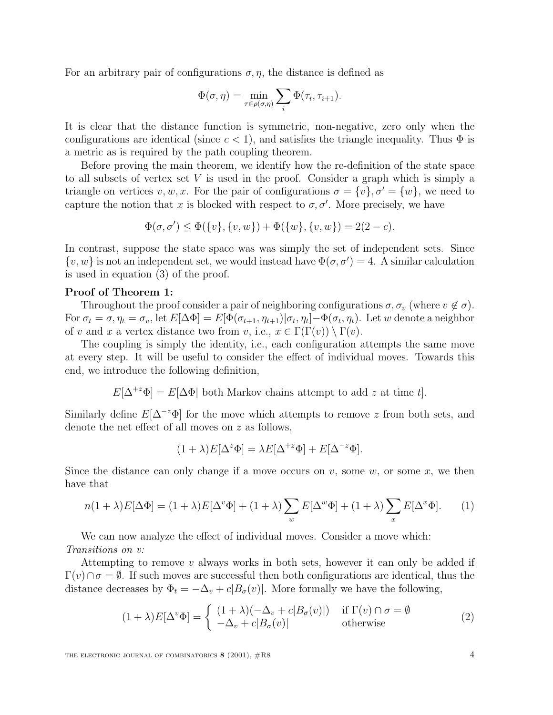For an arbitrary pair of configurations  $\sigma$ ,  $\eta$ , the distance is defined as

$$
\Phi(\sigma,\eta) = \min_{\tau \in \rho(\sigma,\eta)} \sum_{i} \Phi(\tau_i, \tau_{i+1}).
$$

It is clear that the distance function is symmetric, non-negative, zero only when the configurations are identical (since  $c < 1$ ), and satisfies the triangle inequality. Thus  $\Phi$  is a metric as is required by the path coupling theorem.

Before proving the main theorem, we identify how the re-definition of the state space to all subsets of vertex set  $V$  is used in the proof. Consider a graph which is simply a triangle on vertices  $v, w, x$ . For the pair of configurations  $\sigma = \{v\}, \sigma' = \{w\}$ , we need to capture the notion that x is blocked with respect to  $\sigma$ ,  $\sigma'$ . More precisely, we have

$$
\Phi(\sigma, \sigma') \le \Phi(\{v\}, \{v, w\}) + \Phi(\{w\}, \{v, w\}) = 2(2 - c).
$$

In contrast, suppose the state space was was simply the set of independent sets. Since  $\{v, w\}$  is not an independent set, we would instead have  $\Phi(\sigma, \sigma') = 4$ . A similar calculation is used in equation (3) of the proof.

### **Proof of Theorem 1:**

Throughout the proof consider a pair of neighboring configurations  $\sigma$ ,  $\sigma_v$  (where  $v \notin \sigma$ ). For  $\sigma_t = \sigma, \eta_t = \sigma_v$ , let  $E[\Delta \Phi] = E[\Phi(\sigma_{t+1}, \eta_{t+1}) | \sigma_t, \eta_t] - \Phi(\sigma_t, \eta_t)$ . Let w denote a neighbor of v and x a vertex distance two from v, i.e.,  $x \in \Gamma(\Gamma(v)) \setminus \Gamma(v)$ .

The coupling is simply the identity, i.e., each configuration attempts the same move at every step. It will be useful to consider the effect of individual moves. Towards this end, we introduce the following definition,

 $E[\Delta^{+z}\Phi] = E[\Delta\Phi]$  both Markov chains attempt to add z at time t.

Similarly define  $E[\Delta^{-z}\Phi]$  for the move which attempts to remove z from both sets, and denote the net effect of all moves on z as follows,

$$
(1 + \lambda)E[\Delta^z \Phi] = \lambda E[\Delta^{+z} \Phi] + E[\Delta^{-z} \Phi].
$$

Since the distance can only change if a move occurs on  $v$ , some  $w$ , or some  $x$ , we then have that

$$
n(1+\lambda)E[\Delta\Phi] = (1+\lambda)E[\Delta^v\Phi] + (1+\lambda)\sum_w E[\Delta^w\Phi] + (1+\lambda)\sum_x E[\Delta^x\Phi].
$$
 (1)

We can now analyze the effect of individual moves. Consider a move which: Transitions on v:

Attempting to remove v always works in both sets, however it can only be added if  $\Gamma(v) \cap \sigma = \emptyset$ . If such moves are successful then both configurations are identical, thus the distance decreases by  $\Phi_t = -\Delta_v + c|B_\sigma(v)|$ . More formally we have the following,

$$
(1+\lambda)E[\Delta^v\Phi] = \begin{cases} (1+\lambda)(-\Delta_v + c|B_\sigma(v)|) & \text{if } \Gamma(v) \cap \sigma = \emptyset \\ -\Delta_v + c|B_\sigma(v)| & \text{otherwise} \end{cases}
$$
(2)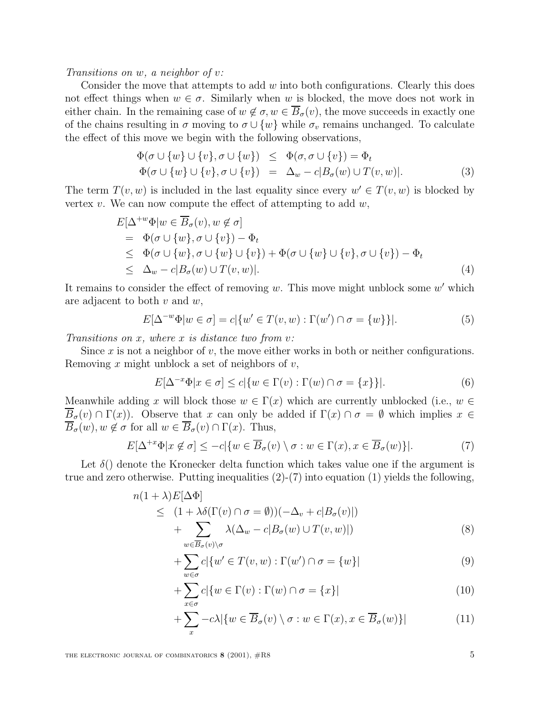Transitions on w, a neighbor of v:

Consider the move that attempts to add  $w$  into both configurations. Clearly this does not effect things when  $w \in \sigma$ . Similarly when w is blocked, the move does not work in either chain. In the remaining case of  $w \notin \sigma$ ,  $w \in \overline{B}_{\sigma}(v)$ , the move succeeds in exactly one of the chains resulting in  $\sigma$  moving to  $\sigma \cup \{w\}$  while  $\sigma_v$  remains unchanged. To calculate the effect of this move we begin with the following observations,

$$
\Phi(\sigma \cup \{w\} \cup \{v\}, \sigma \cup \{w\}) \leq \Phi(\sigma, \sigma \cup \{v\}) = \Phi_t
$$
  
\n
$$
\Phi(\sigma \cup \{w\} \cup \{v\}, \sigma \cup \{v\}) = \Delta_w - c|B_{\sigma}(w) \cup T(v, w)|. \tag{3}
$$

The term  $T(v, w)$  is included in the last equality since every  $w' \in T(v, w)$  is blocked by vertex v. We can now compute the effect of attempting to add  $w$ ,

$$
E[\Delta^{+w}\Phi]w \in \overline{B}_{\sigma}(v), w \notin \sigma]
$$
  
=  $\Phi(\sigma \cup \{w\}, \sigma \cup \{v\}) - \Phi_t$   
 $\leq \Phi(\sigma \cup \{w\}, \sigma \cup \{w\} \cup \{v\}) + \Phi(\sigma \cup \{w\} \cup \{v\}, \sigma \cup \{v\}) - \Phi_t$   
 $\leq \Delta_w - c|B_{\sigma}(w) \cup T(v, w)|.$  (4)

It remains to consider the effect of removing w. This move might unblock some  $w'$  which are adjacent to both  $v$  and  $w$ ,

$$
E[\Delta^{-w}\Phi|w\in\sigma] = c|\{w'\in T(v,w): \Gamma(w')\cap\sigma=\{w\}\}|. \tag{5}
$$

Transitions on  $x$ , where  $x$  is distance two from  $v$ :

Since x is not a neighbor of v, the move either works in both or neither configurations. Removing x might unblock a set of neighbors of  $v$ ,

$$
E[\Delta^{-x}\Phi|x \in \sigma] \le c|\{w \in \Gamma(v) : \Gamma(w) \cap \sigma = \{x\}\}|.
$$
 (6)

Meanwhile adding x will block those  $w \in \Gamma(x)$  which are currently unblocked (i.e.,  $w \in \Gamma(x)$ )  $B_{\sigma}(v) \cap \Gamma(x)$ . Observe that x can only be added if  $\Gamma(x) \cap \sigma = \emptyset$  which implies  $x \in$  $\overline{B}_{\sigma}(w), w \notin \sigma$  for all  $w \in \overline{B}_{\sigma}(v) \cap \Gamma(x)$ . Thus,

$$
E[\Delta^{+x}\Phi|x \notin \sigma] \le -c|\{w \in \overline{B}_{\sigma}(v) \setminus \sigma : w \in \Gamma(x), x \in \overline{B}_{\sigma}(w)\}|. \tag{7}
$$

Let  $\delta()$  denote the Kronecker delta function which takes value one if the argument is true and zero otherwise. Putting inequalities  $(2)-(7)$  into equation  $(1)$  yields the following,

$$
n(1+\lambda)E[\Delta\Phi]
$$
  
\n
$$
\leq (1+\lambda\delta(\Gamma(v)\cap\sigma=\emptyset))(-\Delta_v+c|B_{\sigma}(v)|)
$$
  
\n
$$
+\sum_{w\in\overline{B_{\sigma}(v)}\setminus\sigma}\lambda(\Delta_w-c|B_{\sigma}(w)\cup T(v,w)|)
$$
\n(8)

$$
+\sum_{w \in \sigma} c | \{w' \in T(v, w) : \Gamma(w') \cap \sigma = \{w\} |
$$
\n(9)

$$
+\sum_{x\in\sigma}c|\{w\in\Gamma(v):\Gamma(w)\cap\sigma=\{x\}|
$$
\n(10)

$$
+\sum_{x} -c\lambda |\{w \in \overline{B}_{\sigma}(v) \setminus \sigma : w \in \Gamma(x), x \in \overline{B}_{\sigma}(w)\}|
$$
(11)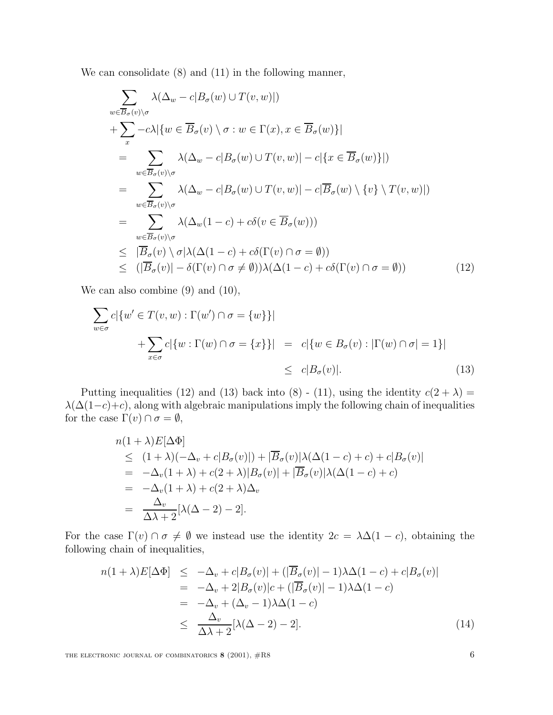We can consolidate (8) and (11) in the following manner,

$$
\sum_{w \in \overline{B}_{\sigma}(v) \setminus \sigma} \lambda(\Delta_w - c | B_{\sigma}(w) \cup T(v, w)|)
$$
\n
$$
+ \sum_{x} -c\lambda |\{w \in \overline{B}_{\sigma}(v) \setminus \sigma : w \in \Gamma(x), x \in \overline{B}_{\sigma}(w)\}|
$$
\n
$$
= \sum_{w \in \overline{B}_{\sigma}(v) \setminus \sigma} \lambda(\Delta_w - c | B_{\sigma}(w) \cup T(v, w)| - c |\{x \in \overline{B}_{\sigma}(w)\}|)
$$
\n
$$
= \sum_{w \in \overline{B}_{\sigma}(v) \setminus \sigma} \lambda(\Delta_w - c | B_{\sigma}(w) \cup T(v, w)| - c |\overline{B}_{\sigma}(w) \setminus \{v\} \setminus T(v, w)|)
$$
\n
$$
= \sum_{w \in \overline{B}_{\sigma}(v) \setminus \sigma} \lambda(\Delta_w(1 - c) + c\delta(v \in \overline{B}_{\sigma}(w)))
$$
\n
$$
\leq |\overline{B}_{\sigma}(v) \setminus \sigma| \lambda(\Delta(1 - c) + c\delta(\Gamma(v) \cap \sigma = \emptyset))
$$
\n
$$
\leq (|\overline{B}_{\sigma}(v)| - \delta(\Gamma(v) \cap \sigma \neq \emptyset)) \lambda(\Delta(1 - c) + c\delta(\Gamma(v) \cap \sigma = \emptyset))
$$
\n(12)

We can also combine  $(9)$  and  $(10)$ ,

$$
\sum_{w \in \sigma} c | \{ w' \in T(v, w) : \Gamma(w') \cap \sigma = \{ w \} \} |
$$
  
+
$$
\sum_{x \in \sigma} c | \{ w : \Gamma(w) \cap \sigma = \{ x \} \} | = c | \{ w \in B_{\sigma}(v) : |\Gamma(w) \cap \sigma| = 1 \} |
$$
  

$$
\leq c |B_{\sigma}(v)|.
$$
 (13)

Putting inequalities (12) and (13) back into (8) - (11), using the identity  $c(2 + \lambda) =$  $\lambda(\Delta(1-c)+c)$ , along with algebraic manipulations imply the following chain of inequalities for the case  $\Gamma(v) \cap \sigma = \emptyset$ ,

$$
n(1+\lambda)E[\Delta\Phi]
$$
  
\n
$$
\leq (1+\lambda)(-\Delta_v + c|B_{\sigma}(v)|) + |\overline{B}_{\sigma}(v)|\lambda(\Delta(1-c) + c) + c|B_{\sigma}(v)|
$$
  
\n
$$
= -\Delta_v(1+\lambda) + c(2+\lambda)|B_{\sigma}(v)| + |\overline{B}_{\sigma}(v)|\lambda(\Delta(1-c) + c)
$$
  
\n
$$
= -\Delta_v(1+\lambda) + c(2+\lambda)\Delta_v
$$
  
\n
$$
= \frac{\Delta_v}{\Delta\lambda + 2}[\lambda(\Delta - 2) - 2].
$$

For the case  $\Gamma(v) \cap \sigma \neq \emptyset$  we instead use the identity  $2c = \lambda \Delta(1-c)$ , obtaining the following chain of inequalities,

$$
n(1+\lambda)E[\Delta\Phi] \le -\Delta_v + c|B_{\sigma}(v)| + (|\overline{B}_{\sigma}(v)|-1)\lambda\Delta(1-c) + c|B_{\sigma}(v)|
$$
  
\n
$$
= -\Delta_v + 2|B_{\sigma}(v)|c + (|\overline{B}_{\sigma}(v)|-1)\lambda\Delta(1-c)
$$
  
\n
$$
= -\Delta_v + (\Delta_v - 1)\lambda\Delta(1-c)
$$
  
\n
$$
\le \frac{\Delta_v}{\Delta\lambda + 2}[\lambda(\Delta - 2) - 2].
$$
\n(14)

THE ELECTRONIC JOURNAL OF COMBINATORICS  $8$  (2001),  $\#R8$  6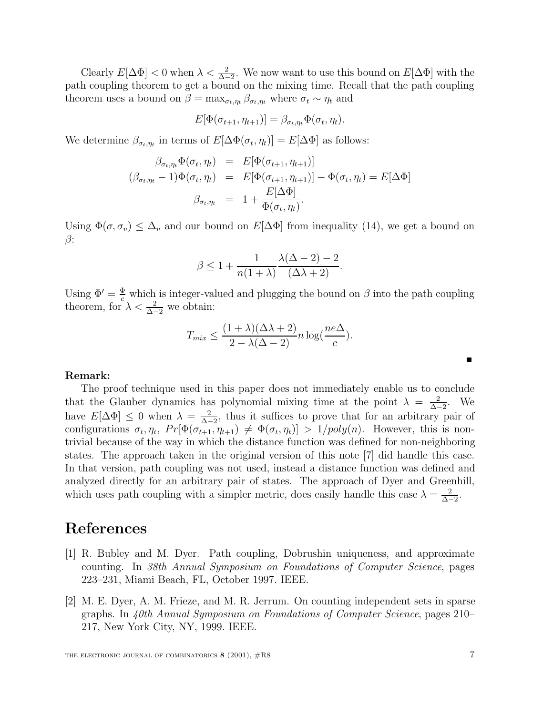Clearly  $E[\Delta \Phi] < 0$  when  $\lambda < \frac{2}{\Delta - 2}$ . We now want to use this bound on  $E[\Delta \Phi]$  with the path coupling theorem to get a bound on the mixing time. Recall that the path coupling theorem uses a bound on  $\beta = \max_{\sigma_t, \eta_t} \beta_{\sigma_t, \eta_t}$  where  $\sigma_t \sim \eta_t$  and

$$
E[\Phi(\sigma_{t+1}, \eta_{t+1})] = \beta_{\sigma_t, \eta_t} \Phi(\sigma_t, \eta_t).
$$

We determine  $\beta_{\sigma_t,\eta_t}$  in terms of  $E[\Delta \Phi(\sigma_t,\eta_t)] = E[\Delta \Phi]$  as follows:

$$
\beta_{\sigma_t, \eta_t} \Phi(\sigma_t, \eta_t) = E[\Phi(\sigma_{t+1}, \eta_{t+1})]
$$
  

$$
(\beta_{\sigma_t, \eta_t} - 1)\Phi(\sigma_t, \eta_t) = E[\Phi(\sigma_{t+1}, \eta_{t+1})] - \Phi(\sigma_t, \eta_t) = E[\Delta \Phi]
$$
  

$$
\beta_{\sigma_t, \eta_t} = 1 + \frac{E[\Delta \Phi]}{\Phi(\sigma_t, \eta_t)}.
$$

Using  $\Phi(\sigma, \sigma_v) \leq \Delta_v$  and our bound on  $E[\Delta \Phi]$  from inequality (14), we get a bound on β:

$$
\beta \le 1 + \frac{1}{n(1+\lambda)} \frac{\lambda(\Delta - 2) - 2}{(\Delta \lambda + 2)}.
$$

Using  $\Phi' = \frac{\Phi}{c}$  which is integer-valued and plugging the bound on  $\beta$  into the path coupling theorem, for  $\lambda < \frac{2}{\Delta - 2}$  we obtain:

$$
T_{mix} \le \frac{(1+\lambda)(\Delta\lambda+2)}{2-\lambda(\Delta-2)}n\log(\frac{ne\Delta}{c}).
$$

#### **Remark:**

The proof technique used in this paper does not immediately enable us to conclude that the Glauber dynamics has polynomial mixing time at the point  $\lambda = \frac{2}{\Delta - 2}$ . We have  $E[\Delta \Phi] \leq 0$  when  $\lambda = \frac{2}{\Delta - 2}$ , thus it suffices to prove that for an arbitrary pair of configurations  $\sigma_t, \eta_t$ ,  $Pr[\Phi(\sigma_{t+1}, \eta_{t+1}) \neq \Phi(\sigma_t, \eta_t)] > 1/poly(n)$ . However, this is nontrivial because of the way in which the distance function was defined for non-neighboring states. The approach taken in the original version of this note [7] did handle this case. In that version, path coupling was not used, instead a distance function was defined and analyzed directly for an arbitrary pair of states. The approach of Dyer and Greenhill, which uses path coupling with a simpler metric, does easily handle this case  $\lambda = \frac{2}{\Delta - 2}$ .

### **References**

- [1] R. Bubley and M. Dyer. Path coupling, Dobrushin uniqueness, and approximate counting. In 38th Annual Symposium on Foundations of Computer Science, pages 223–231, Miami Beach, FL, October 1997. IEEE.
- [2] M. E. Dyer, A. M. Frieze, and M. R. Jerrum. On counting independent sets in sparse graphs. In 40th Annual Symposium on Foundations of Computer Science, pages 210– 217, New York City, NY, 1999. IEEE.

 $\blacksquare$